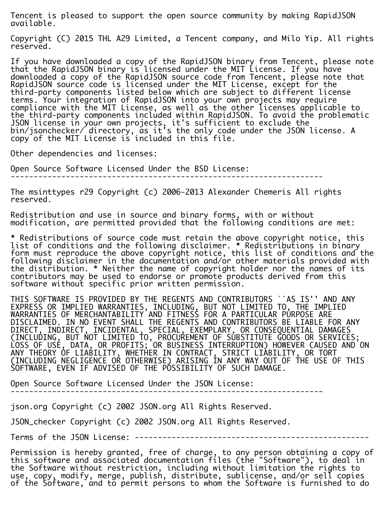Tencent is pleased to support the open source community by making RapidJSON available.

Copyright (C) 2015 THL A29 Limited, a Tencent company, and Milo Yip. All rights reserved.

If you have downloaded a copy of the RapidJSON binary from Tencent, please note that the RapidJSON binary is licensed under the MIT License. If you have downloaded a copy of the RapidJSON source code from Tencent, please note that RapidJSON source code is licensed under the MIT License, except for the third-party components listed below which are subject to different license terms. Your integration of RapidJSON into your own projects may require compliance with the MIT License, as well as the other licenses applicable to the third-party components included within RapidJSON. To avoid the problematic JSON license in your own projects, it's sufficient to exclude the bin/jsonchecker/ directory, as it's the only code under the JSON license. A copy of the MIT License is included in this file.

Other dependencies and licenses:

Open Source Software Licensed Under the BSD License: --------------------------------------------------------------------

The msinttypes r29 Copyright (c) 2006-2013 Alexander Chemeris All rights reserved.

Redistribution and use in source and binary forms, with or without modification, are permitted provided that the following conditions are met:

\* Redistributions of source code must retain the above copyright notice, this list of conditions and the following disclaimer. \* Redistributions in binary form must reproduce the above copyright notice, this list of conditions and the following disclaimer in the documentation and/or other materials provided with the distribution. \* Neither the name of copyright holder nor the names of its contributors may be used to endorse or promote products derived from this software without specific prior written permission.

THIS SOFTWARE IS PROVIDED BY THE REGENTS AND CONTRIBUTORS ``AS IS'' AND ANY EXPRESS OR IMPLIED WARRANTIES, INCLUDING, BUT NOT LIMITED TO, THE IMPLIED WARRANTIES OF MERCHANTABILITY AND FITNESS FOR A PARTICULAR PURPOSE ARE DISCLAIMED. IN NO EVENT SHALL THE REGENTS AND CONTRIBUTORS BE LIABLE FOR ANY DIRECT, INDIRECT, INCIDENTAL, SPECIAL, EXEMPLARY, OR CONSEQUENTIAL DAMAGES (INCLUDING, BUT NOT LIMITED TO, PROCUREMENT OF SUBSTITUTE GOODS OR SERVICES; LOSS OF USE, DATA, OR PROFITS; OR BUSINESS INTERRUPTION) HOWEVER CAUSED AND ON ANY THEORY OF LIABILITY, WHETHER IN CONTRACT, STRICT LIABILITY, OR TORT (INCLUDING NEGLIGENCE OR OTHERWISE) ARISING IN ANY WAY OUT OF THE USE OF THIS SOFTWARE, EVEN IF ADVISED OF THE POSSIBILITY OF SUCH DAMAGE.

Open Source Software Licensed Under the JSON License:

--------------------------------------------------------------------

json.org Copyright (c) 2002 JSON.org All Rights Reserved.

JSON\_checker Copyright (c) 2002 JSON.org All Rights Reserved.

Terms of the JSON License: ---------------------------------------------------

Permission is hereby granted, free of charge, to any person obtaining a copy of this software and associated documentation files (the "Software"), to deal in the Software without restriction, including without limitation the rights to use, copy, modify, merge, publish, distribute, sublicense, and/or sell copies of the Software, and to permit persons to whom the Software is furnished to do